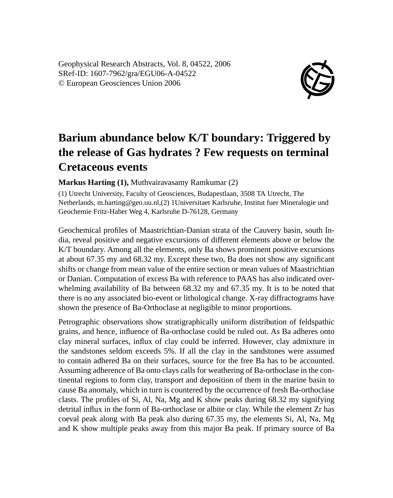Geophysical Research Abstracts, Vol. 8, 04522, 2006 SRef-ID: 1607-7962/gra/EGU06-A-04522 © European Geosciences Union 2006



## **Barium abundance below K/T boundary: Triggered by the release of Gas hydrates ? Few requests on terminal Cretaceous events**

**Markus Harting (1),** Muthvairavasamy Ramkumar (2)

(1) Utrecht University, Faculty of Geosciences, Budapestlaan, 3508 TA Utrecht, The Netherlands, m.harting@geo.uu.nl,(2) 1Universitaet Karlsruhe, Institut fuer Mineralogie und Geochemie Fritz-Haber Weg 4, Karlsruhe D-76128, Germany

Geochemical profiles of Maastrichtian-Danian strata of the Cauvery basin, south India, reveal positive and negative excursions of different elements above or below the K/T boundary. Among all the elements, only Ba shows prominent positive excursions at about 67.35 my and 68.32 my. Except these two, Ba does not show any significant shifts or change from mean value of the entire section or mean values of Maastrichtian or Danian. Computation of excess Ba with reference to PAAS has also indicated overwhelming availability of Ba between 68.32 my and 67.35 my. It is to be noted that there is no any associated bio-event or lithological change. X-ray diffractograms have shown the presence of Ba-Orthoclase at negligible to minor proportions.

Petrographic observations show stratigraphically uniform distribution of feldspathic grains, and hence, influence of Ba-orthoclase could be ruled out. As Ba adheres onto clay mineral surfaces, influx of clay could be inferred. However, clay admixture in the sandstones seldom exceeds 5%. If all the clay in the sandstones were assumed to contain adhered Ba on their surfaces, source for the free Ba has to be accounted. Assuming adherence of Ba onto clays calls for weathering of Ba-orthoclase in the continental regions to form clay, transport and deposition of them in the marine basin to cause Ba anomaly, which in turn is countered by the occurrence of fresh Ba-orthoclase clasts. The profiles of Si, Al, Na, Mg and K show peaks during 68.32 my signifying detrital influx in the form of Ba-orthoclase or albite or clay. While the element Zr has coeval peak along with Ba peak also during 67.35 my, the elements Si, Al, Na, Mg and K show multiple peaks away from this major Ba peak. If primary source of Ba